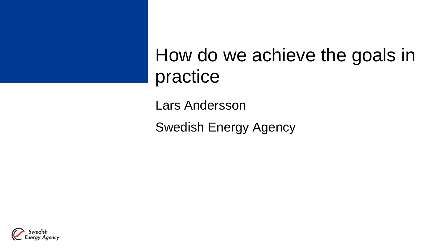### How do we achieve the goals in practice

Lars Andersson

Swedish Energy Agency

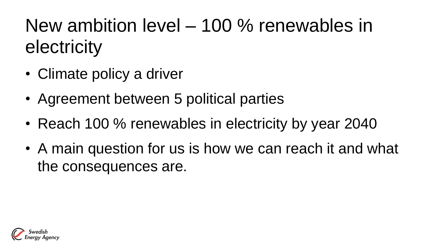New ambition level – 100 % renewables in electricity

- Climate policy a driver
- Agreement between 5 political parties
- Reach 100 % renewables in electricity by year 2040
- A main question for us is how we can reach it and what the consequences are.

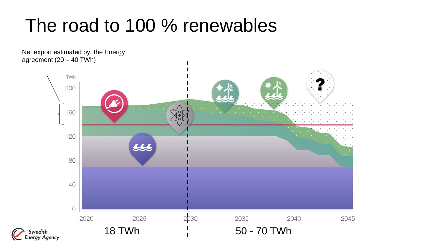## The road to 100 % renewables

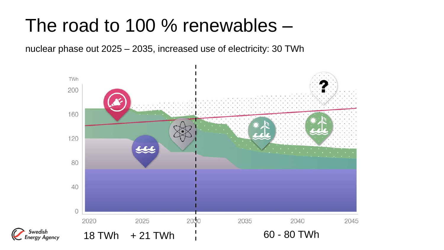## The road to 100 % renewables –

nuclear phase out 2025 – 2035, increased use of electricity: 30 TWh



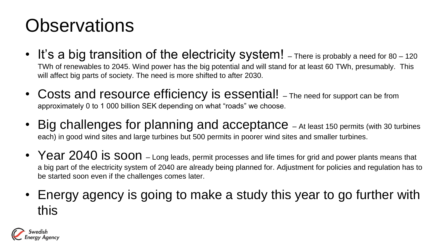# **Observations**

- It's a big transition of the electricity system! There is probably a need for 80 120 TWh of renewables to 2045. Wind power has the big potential and will stand for at least 60 TWh, presumably. This will affect big parts of society. The need is more shifted to after 2030.
- Costs and resource efficiency is essential! The need for support can be from approximately 0 to 1 000 billion SEK depending on what "roads" we choose.
- Big challenges for planning and acceptance At least 150 permits (with 30 turbines each) in good wind sites and large turbines but 500 permits in poorer wind sites and smaller turbines.
- Year 2040 is soon Long leads, permit processes and life times for grid and power plants means that a big part of the electricity system of 2040 are already being planned for. Adjustment for policies and regulation has to be started soon even if the challenges comes later.
- Energy agency is going to make a study this year to go further with this

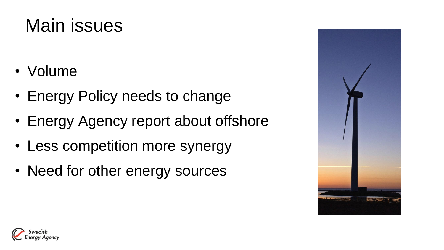## Main issues

- Volume
- Energy Policy needs to change
- Energy Agency report about offshore
- Less competition more synergy
- Need for other energy sources



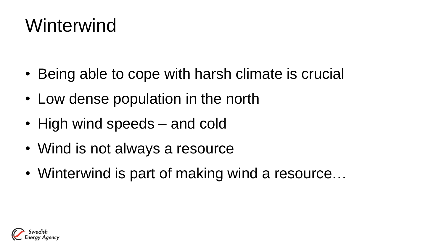## Winterwind

- Being able to cope with harsh climate is crucial
- Low dense population in the north
- High wind speeds and cold
- Wind is not always a resource
- Winterwind is part of making wind a resource...